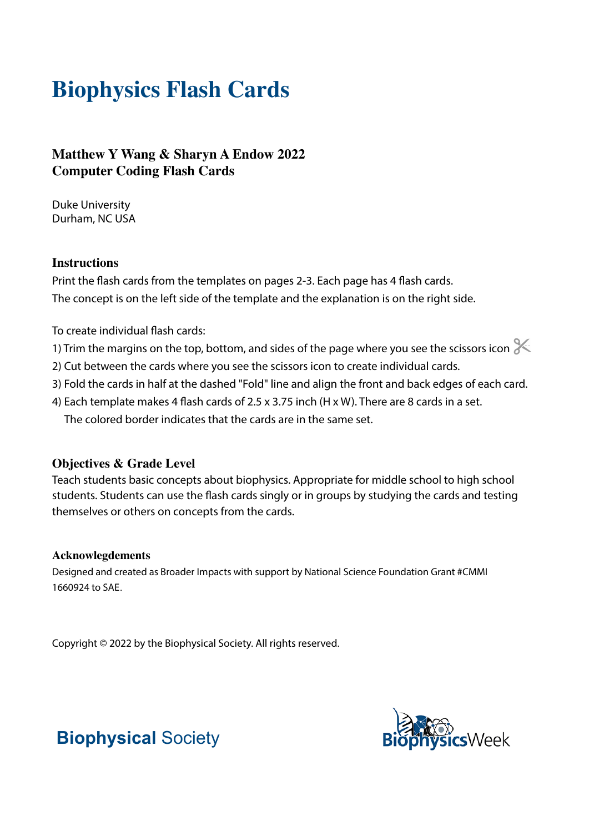# **Biophysics Flash Cards**

### **Matthew Y Wang & Sharyn A Endow 2022 Computer Coding Flash Cards**

Duke University Durham, NC USA

#### **Instructions**

Print the flash cards from the templates on pages 2-3. Each page has 4 flash cards. The concept is on the left side of the template and the explanation is on the right side.

To create individual flash cards:

- 1) Trim the margins on the top, bottom, and sides of the page where you see the scissors icon  $\ll$
- 2) Cut between the cards where you see the scissors icon to create individual cards.
- 3) Fold the cards in half at the dashed "Fold" line and align the front and back edges of each card.
- 4) Each template makes 4 flash cards of 2.5 x 3.75 inch (H x W). There are 8 cards in a set. The colored border indicates that the cards are in the same set.

#### **Objectives & Grade Level**

Teach students basic concepts about biophysics. Appropriate for middle school to high school students. Students can use the flash cards singly or in groups by studying the cards and testing themselves or others on concepts from the cards.

#### **Acknowlegdements**

Designed and created as Broader Impacts with support by National Science Foundation Grant #CMMI 1660924 to SAE.

Copyright © 2022 by the Biophysical Society. All rights reserved.



## **Biophysical** Society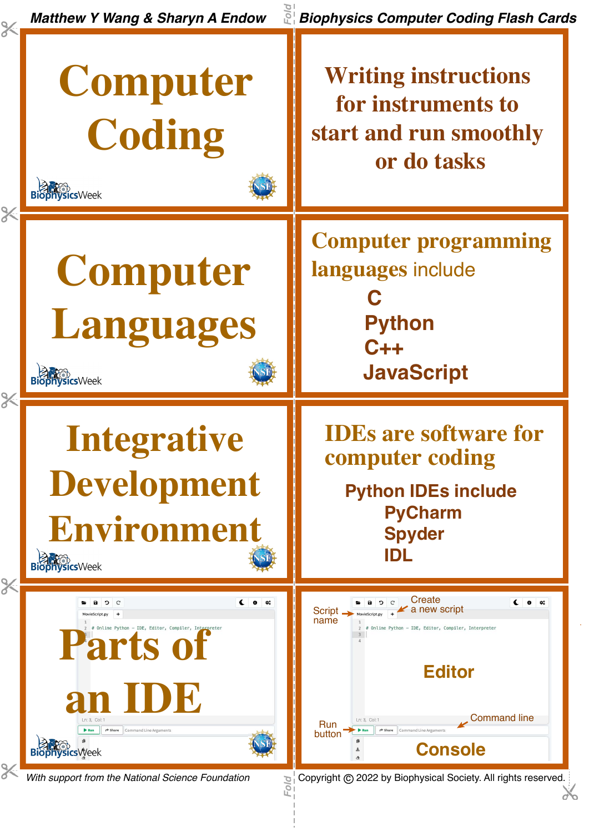